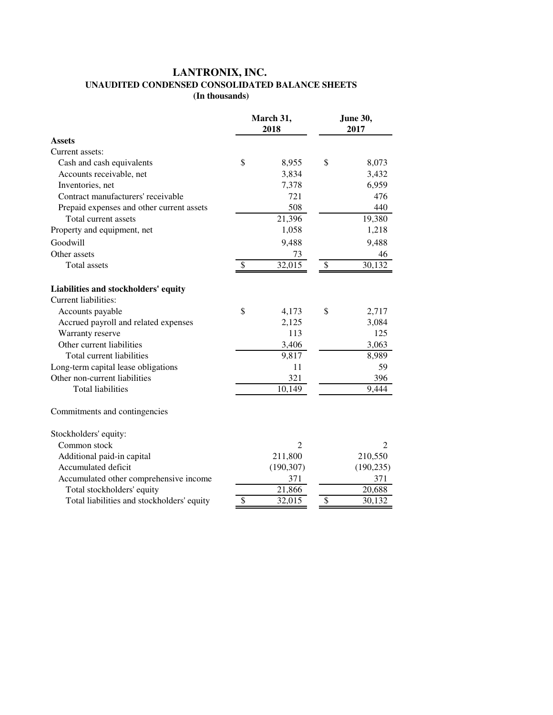## **LANTRONIX, INC. UNAUDITED CONDENSED CONSOLIDATED BALANCE SHEETS (In thousands)**

|                                            |                          | March 31,<br>2018 | June 30,<br>2017         |                             |  |
|--------------------------------------------|--------------------------|-------------------|--------------------------|-----------------------------|--|
| <b>Assets</b>                              |                          |                   |                          |                             |  |
| Current assets:                            |                          |                   |                          |                             |  |
| Cash and cash equivalents                  | \$                       | 8,955             | \$                       | 8,073                       |  |
| Accounts receivable, net                   |                          | 3,834             |                          | 3,432                       |  |
| Inventories, net                           |                          | 7,378             |                          | 6,959                       |  |
| Contract manufacturers' receivable         |                          | 721               |                          | 476                         |  |
| Prepaid expenses and other current assets  |                          | 508               |                          | 440                         |  |
| Total current assets                       |                          | 21,396            |                          | 19,380                      |  |
| Property and equipment, net                |                          | 1,058             |                          | 1,218                       |  |
| Goodwill                                   |                          | 9,488             |                          | 9,488                       |  |
| Other assets                               |                          | 73                |                          | 46                          |  |
| Total assets                               | \$                       | 32,015            | \$                       | 30,132                      |  |
| Liabilities and stockholders' equity       |                          |                   |                          |                             |  |
| Current liabilities:                       |                          |                   |                          |                             |  |
| Accounts payable                           | \$                       | 4,173             | \$                       | 2,717                       |  |
| Accrued payroll and related expenses       |                          | 2,125             |                          | 3,084                       |  |
| Warranty reserve                           |                          | 113               |                          | 125                         |  |
| Other current liabilities                  |                          | 3,406             |                          | 3,063                       |  |
| Total current liabilities                  |                          | 9,817             |                          | 8,989                       |  |
| Long-term capital lease obligations        |                          | 11                |                          | 59                          |  |
| Other non-current liabilities              |                          | 321               |                          | 396                         |  |
| <b>Total liabilities</b>                   |                          | 10,149            |                          | 9,444                       |  |
| Commitments and contingencies              |                          |                   |                          |                             |  |
| Stockholders' equity:                      |                          |                   |                          |                             |  |
| Common stock                               |                          | $\overline{2}$    |                          | $\mathcal{D}_{\mathcal{L}}$ |  |
| Additional paid-in capital                 |                          | 211,800           |                          | 210,550                     |  |
| Accumulated deficit                        |                          | (190, 307)        |                          | (190, 235)                  |  |
| Accumulated other comprehensive income     |                          | 371               |                          | 371                         |  |
| Total stockholders' equity                 |                          | 21,866            |                          | 20,688                      |  |
| Total liabilities and stockholders' equity | $\overline{\mathcal{S}}$ | 32,015            | $\overline{\mathcal{S}}$ | 30,132                      |  |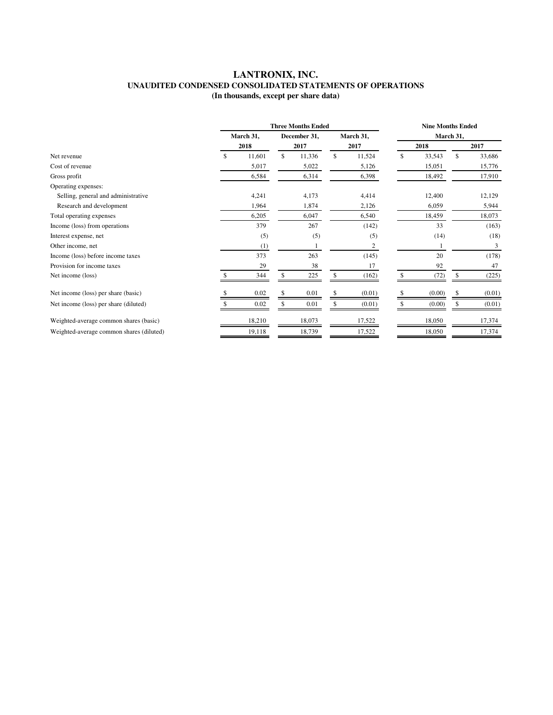## **LANTRONIX, INC. UNAUDITED CONDENSED CONSOLIDATED STATEMENTS OF OPERATIONS (In thousands, except per share data)**

|                                          | <b>Three Months Ended</b> |        |      |              |           |        | <b>Nine Months Ended</b> |        |      |        |  |
|------------------------------------------|---------------------------|--------|------|--------------|-----------|--------|--------------------------|--------|------|--------|--|
|                                          | March 31,                 |        |      | December 31, | March 31, |        | March 31,                |        |      |        |  |
|                                          |                           | 2018   | 2017 |              | 2017      |        | 2018                     |        | 2017 |        |  |
| Net revenue                              |                           | 11,601 | \$   | 11,336       | \$.       | 11,524 | \$                       | 33,543 | S    | 33,686 |  |
| Cost of revenue                          |                           | 5,017  |      | 5,022        |           | 5,126  |                          | 15,051 |      | 15,776 |  |
| Gross profit                             |                           | 6,584  |      | 6,314        |           | 6,398  |                          | 18,492 |      | 17,910 |  |
| Operating expenses:                      |                           |        |      |              |           |        |                          |        |      |        |  |
| Selling, general and administrative      |                           | 4,241  |      | 4,173        |           | 4,414  |                          | 12,400 |      | 12,129 |  |
| Research and development                 |                           | 1,964  |      | 1,874        |           | 2,126  |                          | 6,059  |      | 5,944  |  |
| Total operating expenses                 |                           | 6,205  |      | 6,047        |           | 6,540  |                          | 18,459 |      | 18,073 |  |
| Income (loss) from operations            |                           | 379    |      | 267          |           | (142)  |                          | 33     |      | (163)  |  |
| Interest expense, net                    |                           | (5)    |      | (5)          |           | (5)    |                          | (14)   |      | (18)   |  |
| Other income, net                        |                           | (1)    |      |              |           | 2      |                          |        |      | 3      |  |
| Income (loss) before income taxes        |                           | 373    |      | 263          |           | (145)  |                          | 20     |      | (178)  |  |
| Provision for income taxes               |                           | 29     |      | 38           |           | 17     |                          | 92     |      | 47     |  |
| Net income (loss)                        |                           | 344    | \$.  | 225          | \$.       | (162)  | \$.                      | (72)   | \$   | (225)  |  |
| Net income (loss) per share (basic)      |                           | 0.02   |      | 0.01         |           | (0.01) |                          | (0.00) |      | (0.01) |  |
| Net income (loss) per share (diluted)    |                           | 0.02   |      | 0.01         |           | (0.01) |                          | (0.00) | \$   | (0.01) |  |
| Weighted-average common shares (basic)   |                           | 18.210 |      | 18,073       |           | 17,522 |                          | 18,050 |      | 17,374 |  |
| Weighted-average common shares (diluted) |                           | 19,118 |      | 18,739       |           | 17,522 |                          | 18,050 |      | 17,374 |  |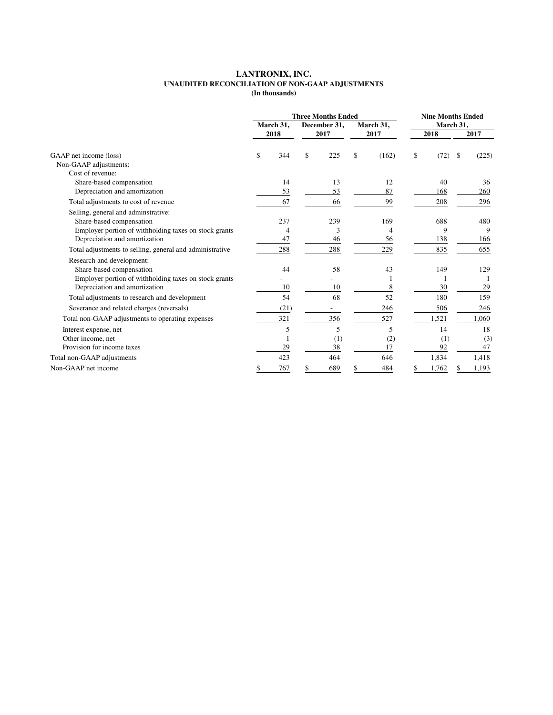## **LANTRONIX, INC. UNAUDITED RECONCILIATION OF NON-GAAP ADJUSTMENTS (In thousands)**

|                                                          | <b>Three Months Ended</b> |      |              |      |           | <b>Nine Months Ended</b> |    |       |           |       |
|----------------------------------------------------------|---------------------------|------|--------------|------|-----------|--------------------------|----|-------|-----------|-------|
|                                                          | March 31,                 |      | December 31, |      | March 31, |                          |    |       | March 31, |       |
|                                                          |                           | 2018 |              | 2017 |           | 2017                     |    | 2018  |           | 2017  |
| GAAP net income (loss)                                   | \$                        | 344  | \$           | 225  | \$        | (162)                    | \$ | (72)  | S.        | (225) |
| Non-GAAP adjustments:                                    |                           |      |              |      |           |                          |    |       |           |       |
| Cost of revenue:                                         |                           |      |              |      |           |                          |    |       |           |       |
| Share-based compensation                                 |                           | 14   |              | 13   |           | 12                       |    | 40    |           | 36    |
| Depreciation and amortization                            |                           | 53   |              | 53   |           | 87                       |    | 168   |           | 260   |
| Total adjustments to cost of revenue                     |                           | 67   |              | 66   |           | 99                       |    | 208   |           | 296   |
| Selling, general and adminstrative:                      |                           |      |              |      |           |                          |    |       |           |       |
| Share-based compensation                                 |                           | 237  |              | 239  |           | 169                      |    | 688   |           | 480   |
| Employer portion of withholding taxes on stock grants    |                           | 4    |              | 3    |           | 4                        |    | 9     |           | 9     |
| Depreciation and amortization                            |                           | 47   |              | 46   |           | 56                       |    | 138   |           | 166   |
| Total adjustments to selling, general and administrative |                           | 288  |              | 288  |           | 229                      |    | 835   |           | 655   |
| Research and development:                                |                           |      |              |      |           |                          |    |       |           |       |
| Share-based compensation                                 |                           | 44   |              | 58   |           | 43                       |    | 149   |           | 129   |
| Employer portion of withholding taxes on stock grants    |                           |      |              |      |           |                          |    |       |           |       |
| Depreciation and amortization                            |                           | 10   |              | 10   |           | 8                        |    | 30    |           | 29    |
| Total adjustments to research and development            |                           | 54   |              | 68   |           | 52                       |    | 180   |           | 159   |
| Severance and related charges (reversals)                |                           | (21) |              |      |           | 246                      |    | 506   |           | 246   |
| Total non-GAAP adjustments to operating expenses         |                           | 321  |              | 356  |           | 527                      |    | 1,521 |           | 1,060 |
| Interest expense, net                                    |                           | 5    |              | 5    |           | 5                        |    | 14    |           | 18    |
| Other income, net                                        |                           |      |              | (1)  |           | (2)                      |    | (1)   |           | (3)   |
| Provision for income taxes                               |                           | 29   |              | 38   |           | 17                       |    | 92    |           | 47    |
| Total non-GAAP adjustments                               |                           | 423  |              | 464  |           | 646                      |    | 1,834 |           | 1,418 |
| Non-GAAP net income                                      | \$                        | 767  | \$           | 689  | \$        | 484                      | S  | 1,762 | \$        | 1,193 |